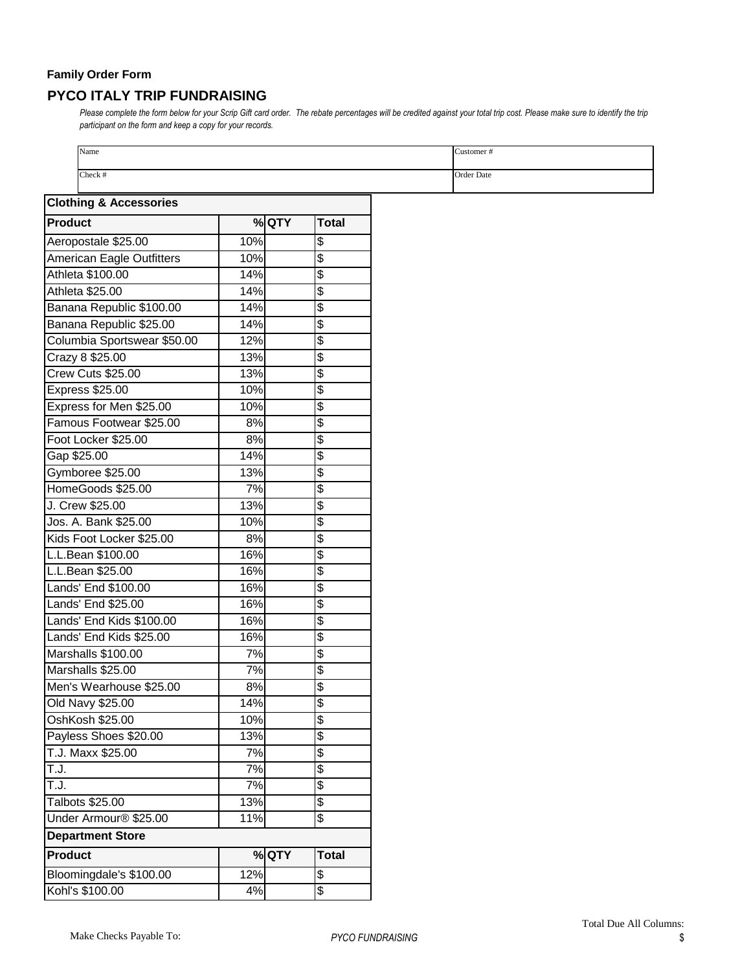## **Family Order Form PYCO ITALY TRIP FUNDRAISING**

Please complete the form below for your Scrip Gift card order. The rebate percentages will be credited against your total trip cost. Please make sure to identify the trip *participant on the form and keep a copy for your records.* 

| Name<br>Check #                   |     |       |                          |
|-----------------------------------|-----|-------|--------------------------|
|                                   |     |       |                          |
| <b>Clothing &amp; Accessories</b> |     |       |                          |
| <b>Product</b>                    |     | % QTY | <b>Total</b>             |
| Aeropostale \$25.00               | 10% |       | \$                       |
| American Eagle Outfitters         | 10% |       | \$                       |
| Athleta \$100.00                  | 14% |       | \$                       |
| Athleta \$25.00                   | 14% |       | \$                       |
| Banana Republic \$100.00          | 14% |       | \$                       |
| Banana Republic \$25.00           | 14% |       | \$                       |
| Columbia Sportswear \$50.00       | 12% |       | \$                       |
| Crazy 8 \$25.00                   | 13% |       | \$                       |
| Crew Cuts \$25.00                 | 13% |       | \$                       |
| Express \$25.00                   | 10% |       | \$                       |
| Express for Men \$25.00           | 10% |       | $\overline{\mathcal{E}}$ |
|                                   |     |       |                          |
| Famous Footwear \$25.00           | 8%  |       | \$                       |
| Foot Locker \$25.00               | 8%  |       | \$                       |
| Gap \$25.00                       | 14% |       | \$                       |
| Gymboree \$25.00                  | 13% |       | \$                       |
| HomeGoods \$25.00                 | 7%  |       | \$                       |
| J. Crew \$25.00                   | 13% |       | \$                       |
| Jos. A. Bank \$25.00              | 10% |       | \$                       |
| Kids Foot Locker \$25.00          | 8%  |       | \$                       |
| L.L.Bean \$100.00                 | 16% |       | \$                       |
| L.L.Bean \$25.00                  | 16% |       | \$                       |
| Lands' End \$100.00               | 16% |       | \$                       |
| Lands' End \$25.00                | 16% |       | \$                       |
| Lands' End Kids \$100.00          | 16% |       | \$                       |
| Lands' End Kids \$25.00           | 16% |       | $\boldsymbol{\theta}$    |
| Marshalls \$100.00                | 7%  |       | \$                       |
| Marshalls \$25.00                 | 7%  |       | θ                        |
| Men's Wearhouse \$25.00           | 8%  |       | \$                       |
| Old Navy \$25.00                  | 14% |       | $\frac{3}{2}$            |
| OshKosh \$25.00                   | 10% |       | $\overline{\$}$          |
| Payless Shoes \$20.00             | 13% |       | \$                       |
| T.J. Maxx \$25.00                 | 7%  |       | $\overline{\mathcal{E}}$ |
| T.J.                              | 7%  |       | \$                       |
| T.J.                              | 7%  |       | \$                       |
| Talbots \$25.00                   | 13% |       | θ                        |
| Under Armour <sup>®</sup> \$25.00 | 11% |       | $\overline{\$}$          |
| <b>Department Store</b>           |     |       |                          |
| <b>Product</b>                    |     | % QTY | <b>Total</b>             |
| Bloomingdale's \$100.00           | 12% |       | \$                       |
| Kohl's \$100.00                   | 4%  |       | $\overline{\mathcal{S}}$ |
|                                   |     |       |                          |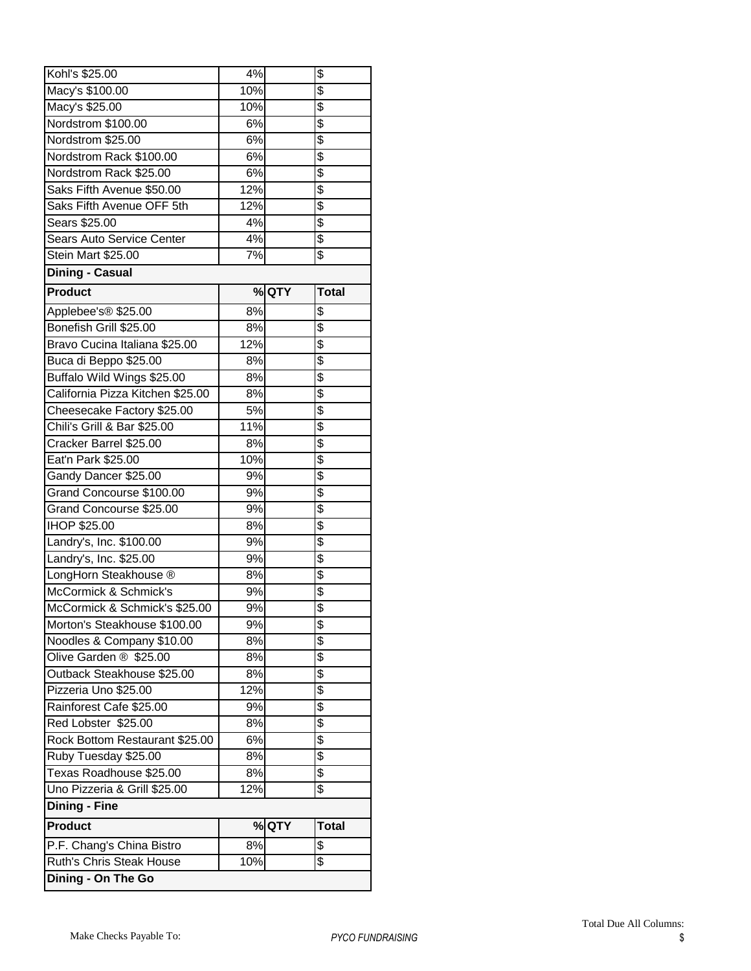| Macy's \$100.00<br>\$<br>Macy's \$25.00<br>10%<br>\$<br>Nordstrom \$100.00<br>6%<br>\$<br>Nordstrom \$25.00<br>6%<br>$\overline{\$}$<br>Nordstrom Rack \$100.00<br>6%<br>\$<br>6%<br>Nordstrom Rack \$25.00<br>\$<br>12%<br>Saks Fifth Avenue \$50.00<br>\$<br>Saks Fifth Avenue OFF 5th<br>12%<br>$\overline{\$}$<br>4%<br>Sears \$25.00<br>\$<br>Sears Auto Service Center<br>4%<br>\$<br>7%<br>Stein Mart \$25.00<br><b>Dining - Casual</b><br><b>Product</b><br>% QTY<br><b>Total</b><br>\$<br>8%<br>Applebee's® \$25.00<br>\$<br>Bonefish Grill \$25.00<br>8%<br>\$<br>Bravo Cucina Italiana \$25.00<br>12%<br>\$<br>8%<br>Buca di Beppo \$25.00<br>\$<br>Buffalo Wild Wings \$25.00<br>8%<br>\$<br>California Pizza Kitchen \$25.00<br>8%<br>\$<br>5%<br>Cheesecake Factory \$25.00<br>\$<br>11%<br>Chili's Grill & Bar \$25.00<br>$\overline{\$}$<br>8%<br>Cracker Barrel \$25.00<br>\$<br>10%<br>Eat'n Park \$25.00<br>\$<br>Gandy Dancer \$25.00<br>9%<br>$\overline{\$}$<br>9%<br>Grand Concourse \$100.00<br>$\overline{\$}$<br>9%<br>Grand Concourse \$25.00<br>\$<br>IHOP \$25.00<br>8%<br>\$<br>Landry's, Inc. \$100.00<br>9%<br>$\overline{\$}$<br>Landry's, Inc. \$25.00<br>9%<br>\$<br>LongHorn Steakhouse ®<br>8%<br>$\overline{\mathcal{E}}$<br>McCormick & Schmick's<br>9%<br>\$<br>McCormick & Schmick's \$25.00<br>9%<br>Morton's Steakhouse \$100.00<br>\$<br>9%<br>\$<br>Noodles & Company \$10.00<br>8%<br>\$<br>Olive Garden ® \$25.00<br>8%<br>\$<br>8%<br>Outback Steakhouse \$25.00<br>\$<br>Pizzeria Uno \$25.00<br>12%<br>\$<br>Rainforest Cafe \$25.00<br>9%<br>\$<br>8%<br>Red Lobster \$25.00<br>\$<br>Rock Bottom Restaurant \$25.00<br>6%<br>$\overline{\$}$<br>Ruby Tuesday \$25.00<br>8%<br>\$<br>Texas Roadhouse \$25.00<br>8%<br>\$<br>Uno Pizzeria & Grill \$25.00<br>12%<br><b>Dining - Fine</b><br><b>Product</b><br>% QTY<br><b>Total</b><br>P.F. Chang's China Bistro<br>8%<br>\$<br>$\overline{\$}$<br><b>Ruth's Chris Steak House</b><br>10% | Kohl's \$25.00     | 4%  | \$              |
|---------------------------------------------------------------------------------------------------------------------------------------------------------------------------------------------------------------------------------------------------------------------------------------------------------------------------------------------------------------------------------------------------------------------------------------------------------------------------------------------------------------------------------------------------------------------------------------------------------------------------------------------------------------------------------------------------------------------------------------------------------------------------------------------------------------------------------------------------------------------------------------------------------------------------------------------------------------------------------------------------------------------------------------------------------------------------------------------------------------------------------------------------------------------------------------------------------------------------------------------------------------------------------------------------------------------------------------------------------------------------------------------------------------------------------------------------------------------------------------------------------------------------------------------------------------------------------------------------------------------------------------------------------------------------------------------------------------------------------------------------------------------------------------------------------------------------------------------------------------------------------------------------------------------------------------------------------------------------------------------|--------------------|-----|-----------------|
|                                                                                                                                                                                                                                                                                                                                                                                                                                                                                                                                                                                                                                                                                                                                                                                                                                                                                                                                                                                                                                                                                                                                                                                                                                                                                                                                                                                                                                                                                                                                                                                                                                                                                                                                                                                                                                                                                                                                                                                             |                    | 10% | $\overline{\$}$ |
|                                                                                                                                                                                                                                                                                                                                                                                                                                                                                                                                                                                                                                                                                                                                                                                                                                                                                                                                                                                                                                                                                                                                                                                                                                                                                                                                                                                                                                                                                                                                                                                                                                                                                                                                                                                                                                                                                                                                                                                             |                    |     |                 |
|                                                                                                                                                                                                                                                                                                                                                                                                                                                                                                                                                                                                                                                                                                                                                                                                                                                                                                                                                                                                                                                                                                                                                                                                                                                                                                                                                                                                                                                                                                                                                                                                                                                                                                                                                                                                                                                                                                                                                                                             |                    |     |                 |
|                                                                                                                                                                                                                                                                                                                                                                                                                                                                                                                                                                                                                                                                                                                                                                                                                                                                                                                                                                                                                                                                                                                                                                                                                                                                                                                                                                                                                                                                                                                                                                                                                                                                                                                                                                                                                                                                                                                                                                                             |                    |     |                 |
|                                                                                                                                                                                                                                                                                                                                                                                                                                                                                                                                                                                                                                                                                                                                                                                                                                                                                                                                                                                                                                                                                                                                                                                                                                                                                                                                                                                                                                                                                                                                                                                                                                                                                                                                                                                                                                                                                                                                                                                             |                    |     |                 |
|                                                                                                                                                                                                                                                                                                                                                                                                                                                                                                                                                                                                                                                                                                                                                                                                                                                                                                                                                                                                                                                                                                                                                                                                                                                                                                                                                                                                                                                                                                                                                                                                                                                                                                                                                                                                                                                                                                                                                                                             |                    |     |                 |
|                                                                                                                                                                                                                                                                                                                                                                                                                                                                                                                                                                                                                                                                                                                                                                                                                                                                                                                                                                                                                                                                                                                                                                                                                                                                                                                                                                                                                                                                                                                                                                                                                                                                                                                                                                                                                                                                                                                                                                                             |                    |     |                 |
|                                                                                                                                                                                                                                                                                                                                                                                                                                                                                                                                                                                                                                                                                                                                                                                                                                                                                                                                                                                                                                                                                                                                                                                                                                                                                                                                                                                                                                                                                                                                                                                                                                                                                                                                                                                                                                                                                                                                                                                             |                    |     |                 |
|                                                                                                                                                                                                                                                                                                                                                                                                                                                                                                                                                                                                                                                                                                                                                                                                                                                                                                                                                                                                                                                                                                                                                                                                                                                                                                                                                                                                                                                                                                                                                                                                                                                                                                                                                                                                                                                                                                                                                                                             |                    |     |                 |
|                                                                                                                                                                                                                                                                                                                                                                                                                                                                                                                                                                                                                                                                                                                                                                                                                                                                                                                                                                                                                                                                                                                                                                                                                                                                                                                                                                                                                                                                                                                                                                                                                                                                                                                                                                                                                                                                                                                                                                                             |                    |     |                 |
|                                                                                                                                                                                                                                                                                                                                                                                                                                                                                                                                                                                                                                                                                                                                                                                                                                                                                                                                                                                                                                                                                                                                                                                                                                                                                                                                                                                                                                                                                                                                                                                                                                                                                                                                                                                                                                                                                                                                                                                             |                    |     |                 |
|                                                                                                                                                                                                                                                                                                                                                                                                                                                                                                                                                                                                                                                                                                                                                                                                                                                                                                                                                                                                                                                                                                                                                                                                                                                                                                                                                                                                                                                                                                                                                                                                                                                                                                                                                                                                                                                                                                                                                                                             |                    |     |                 |
|                                                                                                                                                                                                                                                                                                                                                                                                                                                                                                                                                                                                                                                                                                                                                                                                                                                                                                                                                                                                                                                                                                                                                                                                                                                                                                                                                                                                                                                                                                                                                                                                                                                                                                                                                                                                                                                                                                                                                                                             |                    |     |                 |
|                                                                                                                                                                                                                                                                                                                                                                                                                                                                                                                                                                                                                                                                                                                                                                                                                                                                                                                                                                                                                                                                                                                                                                                                                                                                                                                                                                                                                                                                                                                                                                                                                                                                                                                                                                                                                                                                                                                                                                                             |                    |     |                 |
|                                                                                                                                                                                                                                                                                                                                                                                                                                                                                                                                                                                                                                                                                                                                                                                                                                                                                                                                                                                                                                                                                                                                                                                                                                                                                                                                                                                                                                                                                                                                                                                                                                                                                                                                                                                                                                                                                                                                                                                             |                    |     |                 |
|                                                                                                                                                                                                                                                                                                                                                                                                                                                                                                                                                                                                                                                                                                                                                                                                                                                                                                                                                                                                                                                                                                                                                                                                                                                                                                                                                                                                                                                                                                                                                                                                                                                                                                                                                                                                                                                                                                                                                                                             |                    |     |                 |
|                                                                                                                                                                                                                                                                                                                                                                                                                                                                                                                                                                                                                                                                                                                                                                                                                                                                                                                                                                                                                                                                                                                                                                                                                                                                                                                                                                                                                                                                                                                                                                                                                                                                                                                                                                                                                                                                                                                                                                                             |                    |     |                 |
|                                                                                                                                                                                                                                                                                                                                                                                                                                                                                                                                                                                                                                                                                                                                                                                                                                                                                                                                                                                                                                                                                                                                                                                                                                                                                                                                                                                                                                                                                                                                                                                                                                                                                                                                                                                                                                                                                                                                                                                             |                    |     |                 |
|                                                                                                                                                                                                                                                                                                                                                                                                                                                                                                                                                                                                                                                                                                                                                                                                                                                                                                                                                                                                                                                                                                                                                                                                                                                                                                                                                                                                                                                                                                                                                                                                                                                                                                                                                                                                                                                                                                                                                                                             |                    |     |                 |
|                                                                                                                                                                                                                                                                                                                                                                                                                                                                                                                                                                                                                                                                                                                                                                                                                                                                                                                                                                                                                                                                                                                                                                                                                                                                                                                                                                                                                                                                                                                                                                                                                                                                                                                                                                                                                                                                                                                                                                                             |                    |     |                 |
|                                                                                                                                                                                                                                                                                                                                                                                                                                                                                                                                                                                                                                                                                                                                                                                                                                                                                                                                                                                                                                                                                                                                                                                                                                                                                                                                                                                                                                                                                                                                                                                                                                                                                                                                                                                                                                                                                                                                                                                             |                    |     |                 |
|                                                                                                                                                                                                                                                                                                                                                                                                                                                                                                                                                                                                                                                                                                                                                                                                                                                                                                                                                                                                                                                                                                                                                                                                                                                                                                                                                                                                                                                                                                                                                                                                                                                                                                                                                                                                                                                                                                                                                                                             |                    |     |                 |
|                                                                                                                                                                                                                                                                                                                                                                                                                                                                                                                                                                                                                                                                                                                                                                                                                                                                                                                                                                                                                                                                                                                                                                                                                                                                                                                                                                                                                                                                                                                                                                                                                                                                                                                                                                                                                                                                                                                                                                                             |                    |     |                 |
|                                                                                                                                                                                                                                                                                                                                                                                                                                                                                                                                                                                                                                                                                                                                                                                                                                                                                                                                                                                                                                                                                                                                                                                                                                                                                                                                                                                                                                                                                                                                                                                                                                                                                                                                                                                                                                                                                                                                                                                             |                    |     |                 |
|                                                                                                                                                                                                                                                                                                                                                                                                                                                                                                                                                                                                                                                                                                                                                                                                                                                                                                                                                                                                                                                                                                                                                                                                                                                                                                                                                                                                                                                                                                                                                                                                                                                                                                                                                                                                                                                                                                                                                                                             |                    |     |                 |
|                                                                                                                                                                                                                                                                                                                                                                                                                                                                                                                                                                                                                                                                                                                                                                                                                                                                                                                                                                                                                                                                                                                                                                                                                                                                                                                                                                                                                                                                                                                                                                                                                                                                                                                                                                                                                                                                                                                                                                                             |                    |     |                 |
|                                                                                                                                                                                                                                                                                                                                                                                                                                                                                                                                                                                                                                                                                                                                                                                                                                                                                                                                                                                                                                                                                                                                                                                                                                                                                                                                                                                                                                                                                                                                                                                                                                                                                                                                                                                                                                                                                                                                                                                             |                    |     |                 |
|                                                                                                                                                                                                                                                                                                                                                                                                                                                                                                                                                                                                                                                                                                                                                                                                                                                                                                                                                                                                                                                                                                                                                                                                                                                                                                                                                                                                                                                                                                                                                                                                                                                                                                                                                                                                                                                                                                                                                                                             |                    |     |                 |
|                                                                                                                                                                                                                                                                                                                                                                                                                                                                                                                                                                                                                                                                                                                                                                                                                                                                                                                                                                                                                                                                                                                                                                                                                                                                                                                                                                                                                                                                                                                                                                                                                                                                                                                                                                                                                                                                                                                                                                                             |                    |     |                 |
|                                                                                                                                                                                                                                                                                                                                                                                                                                                                                                                                                                                                                                                                                                                                                                                                                                                                                                                                                                                                                                                                                                                                                                                                                                                                                                                                                                                                                                                                                                                                                                                                                                                                                                                                                                                                                                                                                                                                                                                             |                    |     |                 |
|                                                                                                                                                                                                                                                                                                                                                                                                                                                                                                                                                                                                                                                                                                                                                                                                                                                                                                                                                                                                                                                                                                                                                                                                                                                                                                                                                                                                                                                                                                                                                                                                                                                                                                                                                                                                                                                                                                                                                                                             |                    |     |                 |
|                                                                                                                                                                                                                                                                                                                                                                                                                                                                                                                                                                                                                                                                                                                                                                                                                                                                                                                                                                                                                                                                                                                                                                                                                                                                                                                                                                                                                                                                                                                                                                                                                                                                                                                                                                                                                                                                                                                                                                                             |                    |     |                 |
|                                                                                                                                                                                                                                                                                                                                                                                                                                                                                                                                                                                                                                                                                                                                                                                                                                                                                                                                                                                                                                                                                                                                                                                                                                                                                                                                                                                                                                                                                                                                                                                                                                                                                                                                                                                                                                                                                                                                                                                             |                    |     |                 |
|                                                                                                                                                                                                                                                                                                                                                                                                                                                                                                                                                                                                                                                                                                                                                                                                                                                                                                                                                                                                                                                                                                                                                                                                                                                                                                                                                                                                                                                                                                                                                                                                                                                                                                                                                                                                                                                                                                                                                                                             |                    |     |                 |
|                                                                                                                                                                                                                                                                                                                                                                                                                                                                                                                                                                                                                                                                                                                                                                                                                                                                                                                                                                                                                                                                                                                                                                                                                                                                                                                                                                                                                                                                                                                                                                                                                                                                                                                                                                                                                                                                                                                                                                                             |                    |     |                 |
|                                                                                                                                                                                                                                                                                                                                                                                                                                                                                                                                                                                                                                                                                                                                                                                                                                                                                                                                                                                                                                                                                                                                                                                                                                                                                                                                                                                                                                                                                                                                                                                                                                                                                                                                                                                                                                                                                                                                                                                             |                    |     |                 |
|                                                                                                                                                                                                                                                                                                                                                                                                                                                                                                                                                                                                                                                                                                                                                                                                                                                                                                                                                                                                                                                                                                                                                                                                                                                                                                                                                                                                                                                                                                                                                                                                                                                                                                                                                                                                                                                                                                                                                                                             |                    |     |                 |
|                                                                                                                                                                                                                                                                                                                                                                                                                                                                                                                                                                                                                                                                                                                                                                                                                                                                                                                                                                                                                                                                                                                                                                                                                                                                                                                                                                                                                                                                                                                                                                                                                                                                                                                                                                                                                                                                                                                                                                                             |                    |     |                 |
|                                                                                                                                                                                                                                                                                                                                                                                                                                                                                                                                                                                                                                                                                                                                                                                                                                                                                                                                                                                                                                                                                                                                                                                                                                                                                                                                                                                                                                                                                                                                                                                                                                                                                                                                                                                                                                                                                                                                                                                             |                    |     |                 |
|                                                                                                                                                                                                                                                                                                                                                                                                                                                                                                                                                                                                                                                                                                                                                                                                                                                                                                                                                                                                                                                                                                                                                                                                                                                                                                                                                                                                                                                                                                                                                                                                                                                                                                                                                                                                                                                                                                                                                                                             |                    |     |                 |
|                                                                                                                                                                                                                                                                                                                                                                                                                                                                                                                                                                                                                                                                                                                                                                                                                                                                                                                                                                                                                                                                                                                                                                                                                                                                                                                                                                                                                                                                                                                                                                                                                                                                                                                                                                                                                                                                                                                                                                                             |                    |     |                 |
|                                                                                                                                                                                                                                                                                                                                                                                                                                                                                                                                                                                                                                                                                                                                                                                                                                                                                                                                                                                                                                                                                                                                                                                                                                                                                                                                                                                                                                                                                                                                                                                                                                                                                                                                                                                                                                                                                                                                                                                             |                    |     |                 |
|                                                                                                                                                                                                                                                                                                                                                                                                                                                                                                                                                                                                                                                                                                                                                                                                                                                                                                                                                                                                                                                                                                                                                                                                                                                                                                                                                                                                                                                                                                                                                                                                                                                                                                                                                                                                                                                                                                                                                                                             |                    |     |                 |
|                                                                                                                                                                                                                                                                                                                                                                                                                                                                                                                                                                                                                                                                                                                                                                                                                                                                                                                                                                                                                                                                                                                                                                                                                                                                                                                                                                                                                                                                                                                                                                                                                                                                                                                                                                                                                                                                                                                                                                                             |                    |     |                 |
|                                                                                                                                                                                                                                                                                                                                                                                                                                                                                                                                                                                                                                                                                                                                                                                                                                                                                                                                                                                                                                                                                                                                                                                                                                                                                                                                                                                                                                                                                                                                                                                                                                                                                                                                                                                                                                                                                                                                                                                             |                    |     |                 |
|                                                                                                                                                                                                                                                                                                                                                                                                                                                                                                                                                                                                                                                                                                                                                                                                                                                                                                                                                                                                                                                                                                                                                                                                                                                                                                                                                                                                                                                                                                                                                                                                                                                                                                                                                                                                                                                                                                                                                                                             |                    |     |                 |
|                                                                                                                                                                                                                                                                                                                                                                                                                                                                                                                                                                                                                                                                                                                                                                                                                                                                                                                                                                                                                                                                                                                                                                                                                                                                                                                                                                                                                                                                                                                                                                                                                                                                                                                                                                                                                                                                                                                                                                                             |                    |     |                 |
|                                                                                                                                                                                                                                                                                                                                                                                                                                                                                                                                                                                                                                                                                                                                                                                                                                                                                                                                                                                                                                                                                                                                                                                                                                                                                                                                                                                                                                                                                                                                                                                                                                                                                                                                                                                                                                                                                                                                                                                             | Dining - On The Go |     |                 |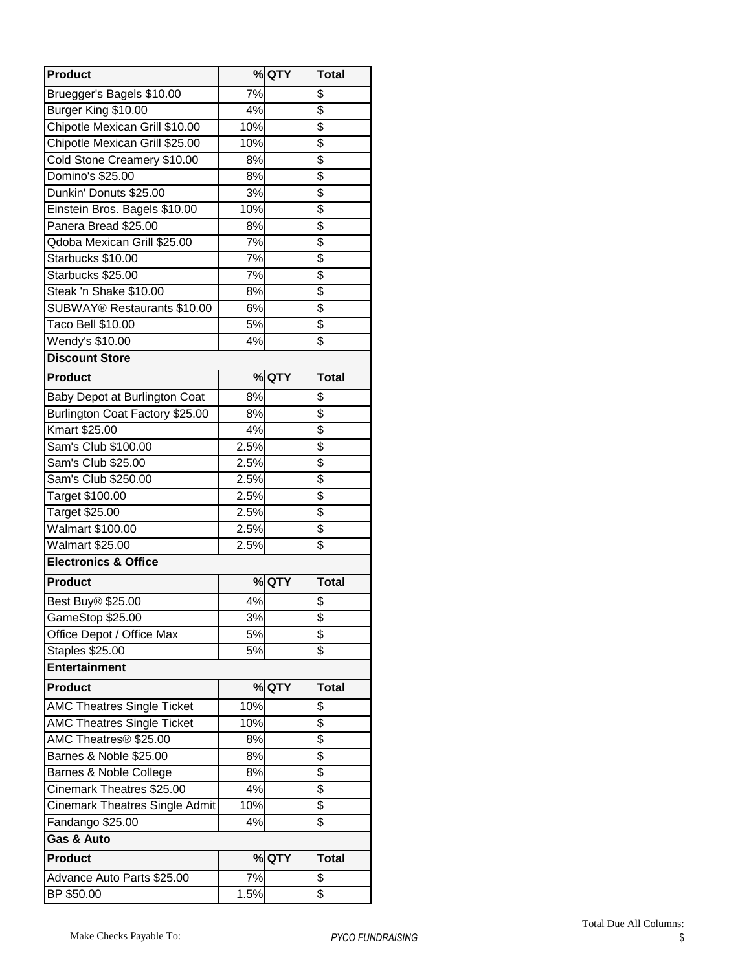| <b>Product</b>                        |      | % QTY | <b>Total</b>    |
|---------------------------------------|------|-------|-----------------|
| Bruegger's Bagels \$10.00             | 7%   |       | \$              |
| Burger King \$10.00                   | 4%   |       | \$              |
| Chipotle Mexican Grill \$10.00        | 10%  |       | \$              |
| Chipotle Mexican Grill \$25.00        | 10%  |       | $\overline{\$}$ |
| Cold Stone Creamery \$10.00           | 8%   |       | \$              |
| Domino's \$25.00                      | 8%   |       | \$              |
| Dunkin' Donuts \$25.00                | 3%   |       | \$              |
| Einstein Bros. Bagels \$10.00         | 10%  |       | \$              |
| Panera Bread \$25.00                  | 8%   |       | \$              |
| Qdoba Mexican Grill \$25.00           | 7%   |       | $\overline{\$}$ |
| Starbucks \$10.00                     | 7%   |       | \$              |
| Starbucks \$25.00                     | 7%   |       | $\overline{\$}$ |
| Steak 'n Shake \$10.00                | 8%   |       | \$              |
| SUBWAY® Restaurants \$10.00           | 6%   |       | $\overline{\$}$ |
| Taco Bell \$10.00                     | 5%   |       | \$              |
| Wendy's \$10.00                       | 4%   |       | \$              |
| <b>Discount Store</b>                 |      |       |                 |
| <b>Product</b>                        |      | %QTY  | <b>Total</b>    |
| Baby Depot at Burlington Coat         | 8%   |       | \$              |
| Burlington Coat Factory \$25.00       | 8%   |       | \$              |
| Kmart \$25.00                         | 4%   |       | $\overline{\$}$ |
| Sam's Club \$100.00                   | 2.5% |       | \$              |
| Sam's Club \$25.00                    | 2.5% |       | $\overline{\$}$ |
| Sam's Club \$250.00                   | 2.5% |       | \$              |
| Target \$100.00                       | 2.5% |       | $\overline{\$}$ |
| Target \$25.00                        | 2.5% |       | \$              |
| <b>Walmart \$100.00</b>               | 2.5% |       | \$              |
| <b>Walmart \$25.00</b>                | 2.5% |       | \$              |
| <b>Electronics &amp; Office</b>       |      |       |                 |
| <b>Product</b>                        |      | %QTY  | <b>Total</b>    |
| Best Buy® \$25.00                     | 4%   |       | \$              |
| GameStop \$25.00                      | 3%   |       | \$              |
| Office Depot / Office Max             | 5%   |       | \$              |
| Staples \$25.00                       | 5%   |       | \$              |
| <b>Entertainment</b>                  |      |       |                 |
| <b>Product</b>                        |      | % QTY | <b>Total</b>    |
| <b>AMC Theatres Single Ticket</b>     | 10%  |       | \$              |
| <b>AMC Theatres Single Ticket</b>     | 10%  |       | \$              |
| AMC Theatres <sup>®</sup> \$25.00     | 8%   |       | \$              |
| Barnes & Noble \$25.00                | 8%   |       | \$              |
| Barnes & Noble College                | 8%   |       | \$              |
| Cinemark Theatres \$25.00             | 4%   |       | \$              |
| <b>Cinemark Theatres Single Admit</b> | 10%  |       | \$              |
| Fandango \$25.00                      | 4%   |       | \$              |
| Gas & Auto                            |      |       |                 |
| <b>Product</b>                        |      | % QTY | <b>Total</b>    |
| Advance Auto Parts \$25.00            | 7%   |       | \$              |
| BP \$50.00                            | 1.5% |       | \$              |
|                                       |      |       |                 |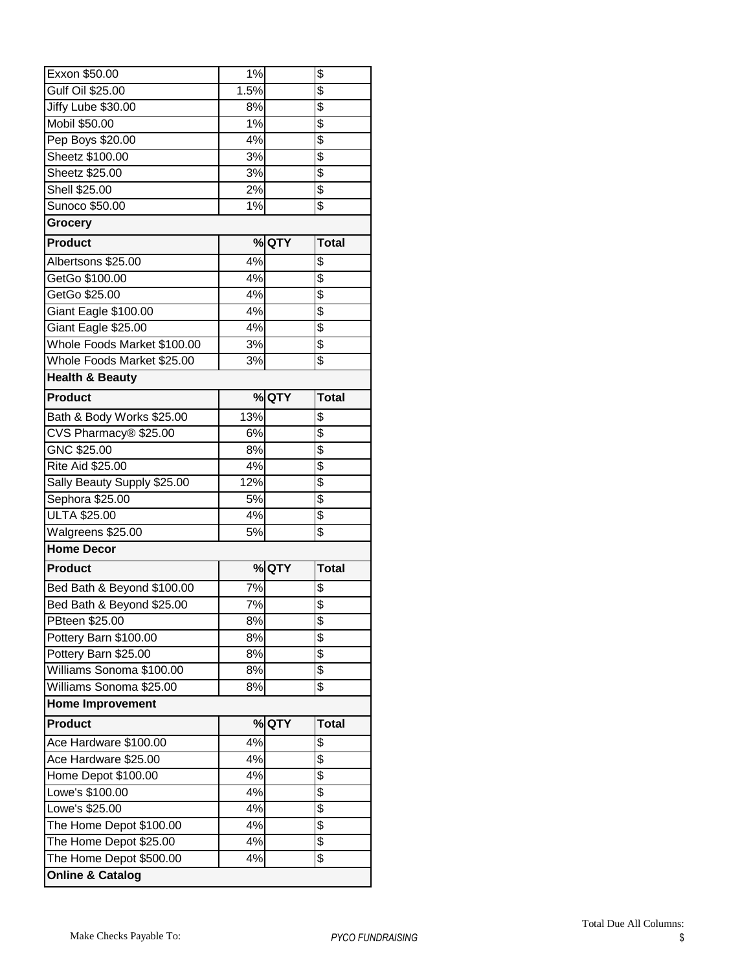| Exxon \$50.00               | $1\%$ |       | \$              |
|-----------------------------|-------|-------|-----------------|
| Gulf Oil \$25.00            | 1.5%  |       | \$              |
| Jiffy Lube \$30.00          | 8%    |       | \$              |
| Mobil \$50.00               | 1%    |       | \$              |
| Pep Boys \$20.00            | 4%    |       | \$              |
| Sheetz \$100.00             | 3%    |       | \$              |
| Sheetz \$25.00              | 3%    |       | \$              |
| Shell \$25.00               | 2%    |       | \$              |
| Sunoco \$50.00              | 1%    |       | \$              |
| Grocery                     |       |       |                 |
| <b>Product</b>              |       | %QTY  | <b>Total</b>    |
| Albertsons \$25.00          | 4%    |       | \$              |
| GetGo \$100.00              | 4%    |       | \$              |
| GetGo \$25.00               | 4%    |       | \$              |
| Giant Eagle \$100.00        | 4%    |       | \$              |
| Giant Eagle \$25.00         | 4%    |       | \$              |
| Whole Foods Market \$100.00 | 3%    |       | \$              |
| Whole Foods Market \$25.00  | 3%    |       | $\overline{\$}$ |
| <b>Health &amp; Beauty</b>  |       |       |                 |
| <b>Product</b>              |       | % QTY | <b>Total</b>    |
| Bath & Body Works \$25.00   | 13%   |       | \$              |
| CVS Pharmacy® \$25.00       | 6%    |       | \$              |
| GNC \$25.00                 | 8%    |       | \$              |
| Rite Aid \$25.00            | 4%    |       | $\overline{\$}$ |
|                             | 12%   |       | $\overline{\$}$ |
| Sally Beauty Supply \$25.00 |       |       |                 |
| Sephora \$25.00             | 5%    |       | $\overline{\$}$ |
| <b>ULTA \$25.00</b>         | 4%    |       | \$              |
| Walgreens \$25.00           | 5%    |       | \$              |
| <b>Home Decor</b>           |       |       |                 |
| <b>Product</b>              |       | % QTY | <b>Total</b>    |
| Bed Bath & Beyond \$100.00  | 7%    |       | \$              |
| Bed Bath & Beyond \$25.00   | 7%    |       | \$              |
| PBteen \$25.00              | 8%    |       | \$              |
| Pottery Barn \$100.00       | 8%    |       | \$              |
| Pottery Barn \$25.00        | 8%    |       | \$              |
| Williams Sonoma \$100.00    | 8%    |       | \$              |
| Williams Sonoma \$25.00     | 8%    |       | \$              |
| <b>Home Improvement</b>     |       |       |                 |
| <b>Product</b>              |       | % QTY | <b>Total</b>    |
| Ace Hardware \$100.00       | 4%    |       | \$              |
| Ace Hardware \$25.00        | 4%    |       | \$              |
| Home Depot \$100.00         | 4%    |       | \$              |
| Lowe's \$100.00             | 4%    |       | \$              |
| Lowe's \$25.00              | 4%    |       | \$              |
| The Home Depot \$100.00     | 4%    |       | \$              |
| The Home Depot \$25.00      | 4%    |       | \$              |
| The Home Depot \$500.00     | 4%    |       | \$              |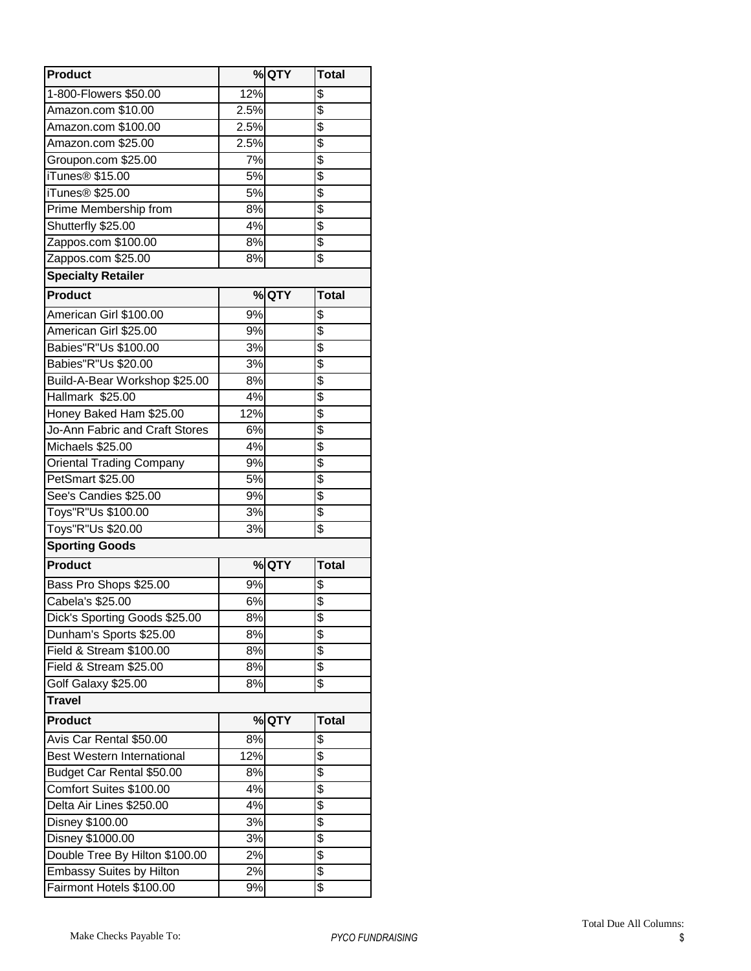| <b>Product</b>                  |      | $%$ QTY | <b>Total</b>    |
|---------------------------------|------|---------|-----------------|
| 1-800-Flowers \$50.00           | 12%  |         | \$              |
| Amazon.com \$10.00              | 2.5% |         | \$              |
| Amazon.com \$100.00             | 2.5% |         | $\overline{\$}$ |
| Amazon.com \$25.00              | 2.5% |         | \$              |
| Groupon.com \$25.00             | 7%   |         | \$              |
| iTunes <sup>®</sup> \$15.00     | 5%   |         | \$              |
| iTunes <sup>®</sup> \$25.00     | 5%   |         | \$              |
| Prime Membership from           | 8%   |         | \$              |
| Shutterfly \$25.00              | 4%   |         | \$              |
| Zappos.com \$100.00             | 8%   |         | \$              |
| Zappos.com \$25.00              | 8%   |         | \$              |
| <b>Specialty Retailer</b>       |      |         |                 |
| <b>Product</b>                  |      | % QTY   | <b>Total</b>    |
| American Girl \$100.00          | 9%   |         | \$              |
| American Girl \$25.00           | 9%   |         | \$              |
| Babies"R"Us \$100.00            | 3%   |         | \$              |
| Babies"R"Us \$20.00             | 3%   |         | $\overline{\$}$ |
| Build-A-Bear Workshop \$25.00   | 8%   |         | $\overline{\$}$ |
| Hallmark \$25.00                | 4%   |         | \$              |
| Honey Baked Ham \$25.00         | 12%  |         | \$              |
| Jo-Ann Fabric and Craft Stores  | 6%   |         | \$              |
| Michaels \$25.00                | 4%   |         | \$              |
| <b>Oriental Trading Company</b> | 9%   |         | \$              |
| PetSmart \$25.00                | 5%   |         | $\overline{\$}$ |
| See's Candies \$25.00           | 9%   |         | \$              |
| Toys"R"Us \$100.00              | 3%   |         | \$              |
| Toys"R"Us \$20.00               | 3%   |         | \$              |
| <b>Sporting Goods</b>           |      |         |                 |
| <b>Product</b>                  |      | % QTY   | <b>Total</b>    |
| Bass Pro Shops \$25.00          | 9%   |         | \$              |
| Cabela's \$25.00                | 6%   |         | \$              |
| Dick's Sporting Goods \$25.00   | 8%   |         | \$              |
| Dunham's Sports \$25.00         | 8%   |         | \$              |
| Field & Stream \$100.00         | 8%   |         | \$              |
| Field & Stream \$25.00          | 8%   |         | \$              |
| Golf Galaxy \$25.00             | 8%   |         | \$              |
| <b>Travel</b>                   |      |         |                 |
| <b>Product</b>                  |      | % QTY   | <b>Total</b>    |
| Avis Car Rental \$50.00         | 8%   |         | \$              |
| Best Western International      | 12%  |         | \$              |
| Budget Car Rental \$50.00       | 8%   |         | \$              |
| Comfort Suites \$100.00         | 4%   |         | \$              |
| Delta Air Lines \$250.00        | 4%   |         | \$              |
| Disney \$100.00                 | 3%   |         | \$              |
| Disney \$1000.00                | 3%   |         | \$              |
| Double Tree By Hilton \$100.00  | 2%   |         | \$              |
| Embassy Suites by Hilton        | 2%   |         | \$              |
| Fairmont Hotels \$100.00        | 9%   |         | \$              |